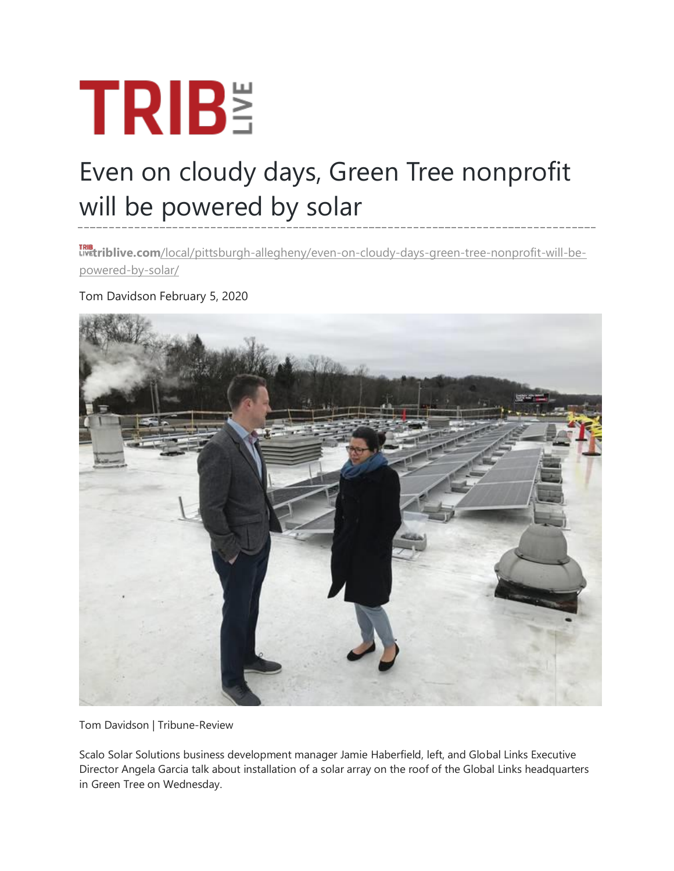## **TRIBE**

## Even on cloudy days, Green Tree nonprofit will be powered by solar

**triblive.com**[/local/pittsburgh-allegheny/even-on-cloudy-days-green-tree-nonprofit-will-be](https://triblive.com/local/pittsburgh-allegheny/even-on-cloudy-days-green-tree-nonprofit-will-be-powered-by-solar/)[powered-by-solar/](https://triblive.com/local/pittsburgh-allegheny/even-on-cloudy-days-green-tree-nonprofit-will-be-powered-by-solar/)

Tom Davidson February 5, 2020



Tom Davidson | Tribune-Review

Scalo Solar Solutions business development manager Jamie Haberfield, left, and Global Links Executive Director Angela Garcia talk about installation of a solar array on the roof of the Global Links headquarters in Green Tree on Wednesday.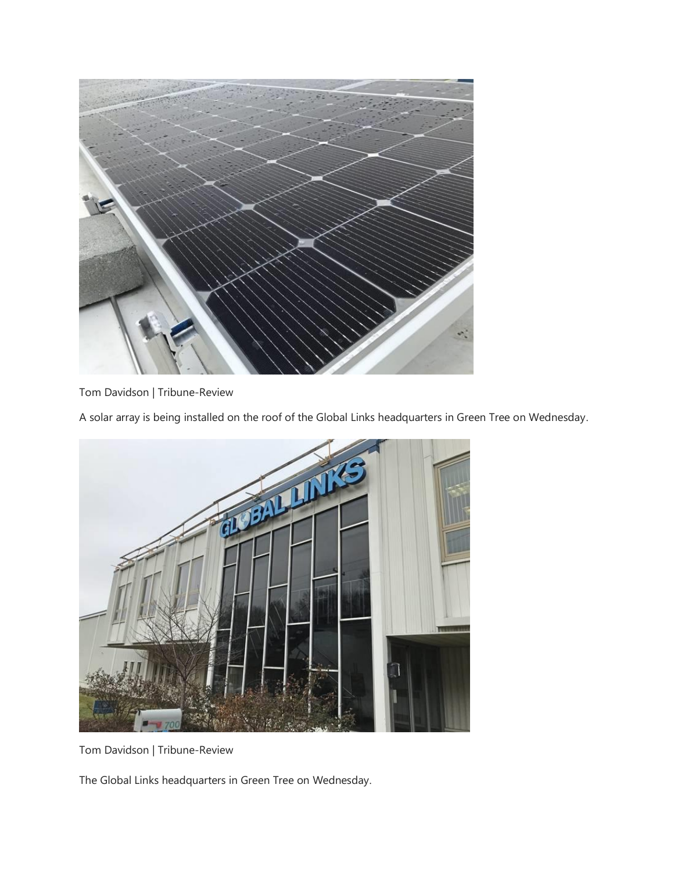

Tom Davidson | Tribune-Review

A solar array is being installed on the roof of the Global Links headquarters in Green Tree on Wednesday.



Tom Davidson | Tribune-Review

The Global Links headquarters in Green Tree on Wednesday.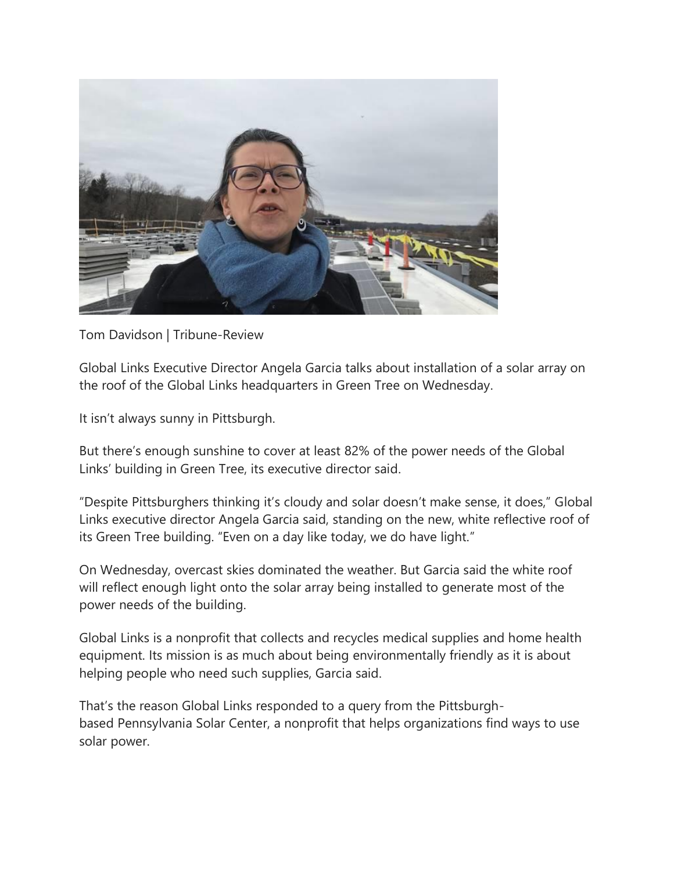

Tom Davidson | Tribune-Review

Global Links Executive Director Angela Garcia talks about installation of a solar array on the roof of the Global Links headquarters in Green Tree on Wednesday.

It isn't always sunny in Pittsburgh.

But there's enough sunshine to cover at least 82% of the power needs of the Global Links' building in Green Tree, its executive director said.

"Despite Pittsburghers thinking it's cloudy and solar doesn't make sense, it does," Global Links executive director Angela Garcia said, standing on the new, white reflective roof of its Green Tree building. "Even on a day like today, we do have light."

On Wednesday, overcast skies dominated the weather. But Garcia said the white roof will reflect enough light onto the solar array being installed to generate most of the power needs of the building.

Global Links is a nonprofit that collects and recycles medical supplies and home health equipment. Its mission is as much about being environmentally friendly as it is about helping people who need such supplies, Garcia said.

That's the reason Global Links responded to a query from the Pittsburghbased [Pennsylvania Solar](http://pasolarcenter.org/) [Center,](http://pasolarcenter.org/) a nonprofit that helps organizations find ways to use solar power.